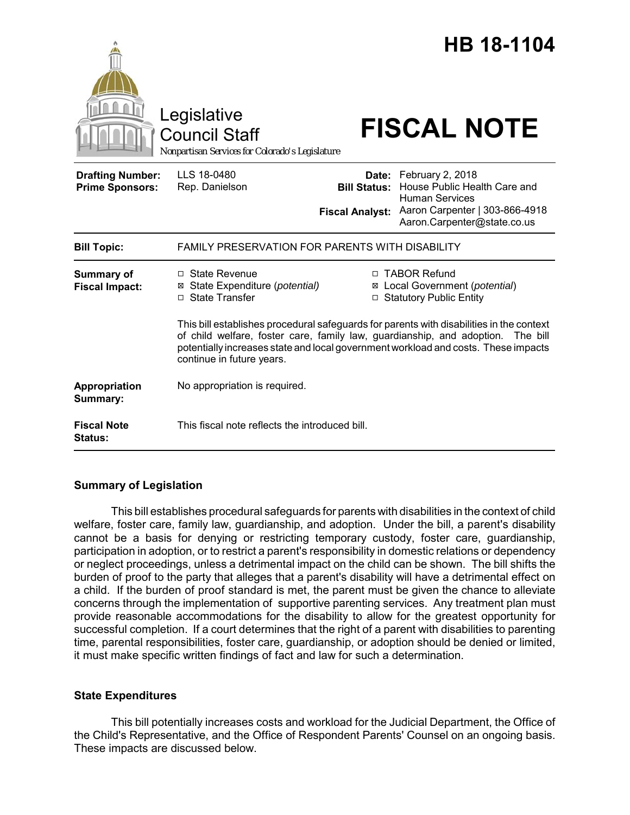|                                                   | Legislative<br><b>Council Staff</b><br>Nonpartisan Services for Colorado's Legislature                                                                                                                |                                                        | HB 18-1104<br><b>FISCAL NOTE</b>                                                                                                                                          |
|---------------------------------------------------|-------------------------------------------------------------------------------------------------------------------------------------------------------------------------------------------------------|--------------------------------------------------------|---------------------------------------------------------------------------------------------------------------------------------------------------------------------------|
| <b>Drafting Number:</b><br><b>Prime Sponsors:</b> | LLS 18-0480<br>Rep. Danielson                                                                                                                                                                         | Date:<br><b>Bill Status:</b><br><b>Fiscal Analyst:</b> | February 2, 2018<br>House Public Health Care and<br><b>Human Services</b><br>Aaron Carpenter   303-866-4918<br>Aaron.Carpenter@state.co.us                                |
| <b>Bill Topic:</b>                                | FAMILY PRESERVATION FOR PARENTS WITH DISABILITY                                                                                                                                                       |                                                        |                                                                                                                                                                           |
| <b>Summary of</b><br><b>Fiscal Impact:</b>        | □ State Revenue<br>State Expenditure (potential)<br>⊠<br>□ State Transfer                                                                                                                             |                                                        | □ TABOR Refund<br>⊠ Local Government (potential)<br>□ Statutory Public Entity<br>This bill establishes procedural safeguards for parents with disabilities in the context |
|                                                   | of child welfare, foster care, family law, guardianship, and adoption.<br>The bill<br>potentially increases state and local government workload and costs. These impacts<br>continue in future years. |                                                        |                                                                                                                                                                           |
| Appropriation<br>Summary:                         | No appropriation is required.                                                                                                                                                                         |                                                        |                                                                                                                                                                           |
| <b>Fiscal Note</b><br><b>Status:</b>              | This fiscal note reflects the introduced bill.                                                                                                                                                        |                                                        |                                                                                                                                                                           |

# **Summary of Legislation**

This bill establishes procedural safeguards for parents with disabilities in the context of child welfare, foster care, family law, guardianship, and adoption. Under the bill, a parent's disability cannot be a basis for denying or restricting temporary custody, foster care, guardianship, participation in adoption, or to restrict a parent's responsibility in domestic relations or dependency or neglect proceedings, unless a detrimental impact on the child can be shown. The bill shifts the burden of proof to the party that alleges that a parent's disability will have a detrimental effect on a child. If the burden of proof standard is met, the parent must be given the chance to alleviate concerns through the implementation of supportive parenting services. Any treatment plan must provide reasonable accommodations for the disability to allow for the greatest opportunity for successful completion. If a court determines that the right of a parent with disabilities to parenting time, parental responsibilities, foster care, guardianship, or adoption should be denied or limited, it must make specific written findings of fact and law for such a determination.

# **State Expenditures**

This bill potentially increases costs and workload for the Judicial Department, the Office of the Child's Representative, and the Office of Respondent Parents' Counsel on an ongoing basis. These impacts are discussed below.